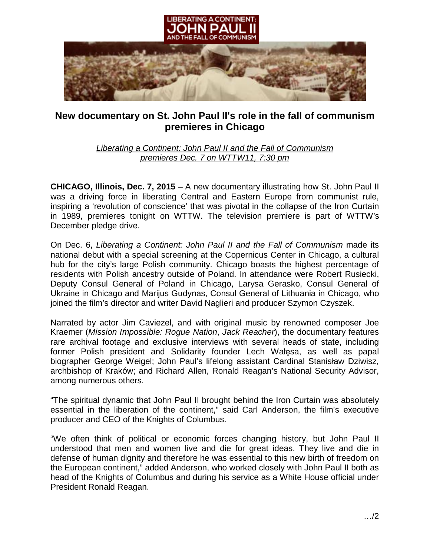

## **New documentary on St. John Paul II's role in the fall of communism premieres in Chicago**

*Liberating a Continent: John Paul II and the Fall of Communism premieres Dec. 7 on WTTW11, 7:30 pm*

**CHICAGO, Illinois, Dec. 7, 2015** – A new documentary illustrating how St. John Paul II was a driving force in liberating Central and Eastern Europe from communist rule, inspiring a 'revolution of conscience' that was pivotal in the collapse of the Iron Curtain in 1989, premieres tonight on WTTW. The television premiere is part of WTTW's December pledge drive.

On Dec. 6, *Liberating a Continent: John Paul II and the Fall of Communism* made its national debut with a special screening at the Copernicus Center in Chicago, a cultural hub for the city's large Polish community. Chicago boasts the highest percentage of residents with Polish ancestry outside of Poland. In attendance were Robert Rusiecki, Deputy Consul General of Poland in Chicago, Larysa Gerasko, Consul General of Ukraine in Chicago and Marijus Gudynas, Consul General of Lithuania in Chicago, who joined the film's director and writer David Naglieri and producer Szymon Czyszek.

Narrated by actor Jim Caviezel, and with original music by renowned composer Joe Kraemer (*Mission Impossible: Rogue Nation*, *Jack Reacher*), the documentary features rare archival footage and exclusive interviews with several heads of state, including former Polish president and Solidarity founder Lech Wałęsa, as well as papal biographer George Weigel; John Paul's lifelong assistant Cardinal Stanisław Dziwisz, archbishop of Kraków; and Richard Allen, Ronald Reagan's National Security Advisor, among numerous others.

"The spiritual dynamic that John Paul II brought behind the Iron Curtain was absolutely essential in the liberation of the continent," said Carl Anderson, the film's executive producer and CEO of the Knights of Columbus.

"We often think of political or economic forces changing history, but John Paul II understood that men and women live and die for great ideas. They live and die in defense of human dignity and therefore he was essential to this new birth of freedom on the European continent," added Anderson, who worked closely with John Paul II both as head of the Knights of Columbus and during his service as a White House official under President Ronald Reagan.